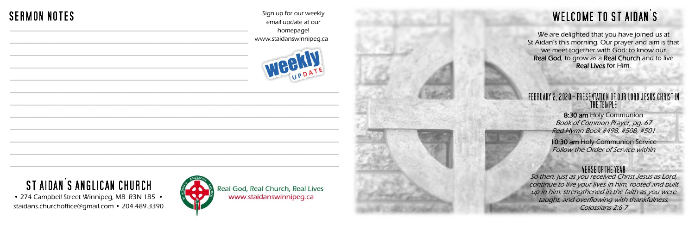We are delighted that you have joined us at St Aidan's this morning. Our prayer and aim is that we meet together with God: to know our Real God, to grow as a Real Church and to live Real Lives for Him.

#### FEBRUARY 2, 2020 - PRESENTATION OF OUR LORD JESUS CHRIST IN THE TEMPLE

8:30 am Holy Communion Book of Common Prayer, pg. 67 Red Hymn Book #498, #508, #501

10:30 am Holy Communion Service Follow the Order of Service within

#### VERSE OF THE YEAR



• 274 Campbell Street Winnipeg, MB R3N 1B5 • staidans.churchoffice@gmail.com • 204.489.3390

Sign up for our weekly email update at our homepage! www.staidanswinnipeg.ca





Real God, Real Church, Real Lives www.staidanswinnipeg.ca

# **WELCOME TO ST AIDAN'S**

## **SERMON NOTES** \_\_\_\_\_\_\_\_\_\_\_\_\_\_\_\_\_\_\_\_\_\_\_\_\_\_\_\_\_\_\_\_\_\_\_\_\_\_\_\_\_\_\_\_\_\_\_\_\_\_\_\_

# ST AIDAN'S ANGLICAN CHURCH

So then, just as you received Christ Jesus as Lord, continue to live your lives in him, rooted and built up in him, strengthened in the faith as you were taught, and overflowing with thankfulness. Colossians 2:6-7

\_\_\_\_\_\_\_\_\_\_\_\_\_\_\_\_\_\_\_\_\_\_\_\_\_\_\_\_\_\_\_\_\_\_\_\_\_\_\_\_\_\_\_\_\_\_\_\_\_\_\_\_

\_\_\_\_\_\_\_\_\_\_\_\_\_\_\_\_\_\_\_\_\_\_\_\_\_\_\_\_\_\_\_\_\_\_\_\_\_\_\_\_\_\_\_\_\_\_\_\_\_\_\_\_

\_\_\_\_\_\_\_\_\_\_\_\_\_\_\_\_\_\_\_\_\_\_\_\_\_\_\_\_\_\_\_\_\_\_\_\_\_\_\_\_\_\_\_\_\_\_\_\_\_\_\_\_

\_\_\_\_\_\_\_\_\_\_\_\_\_\_\_\_\_\_\_\_\_\_\_\_\_\_\_\_\_\_\_\_\_\_\_\_\_\_\_\_\_\_\_\_\_\_\_\_\_\_\_\_

 $\overline{a}$  , and the contribution of the contribution of the contribution of the contribution of the contribution of the contribution of the contribution of the contribution of the contribution of the contribution of the co

 $\overline{a}$  , and the contribution of the contribution of the contribution of the contribution of the contribution of the contribution of the contribution of the contribution of the contribution of the contribution of the co

 $\overline{a}$  , and the contribution of the contribution of the contribution of the contribution of the contribution of the contribution of the contribution of the contribution of the contribution of the contribution of the co

 $\mathcal{L}_\text{G}$  , and the contribution of the contribution of the contribution of the contribution of the contribution of the contribution of the contribution of the contribution of the contribution of the contribution of t

 $\mathcal{L}_\text{G}$  , and the contribution of the contribution of the contribution of the contribution of the contribution of the contribution of the contribution of the contribution of the contribution of the contribution of t

 $\mathcal{L}_\text{G}$  , and the set of the set of the set of the set of the set of the set of the set of the set of the set of the set of the set of the set of the set of the set of the set of the set of the set of the set of the

 $\mathcal{L}_\text{max}$  , and the contribution of the contribution of the contribution of the contribution of the contribution of the contribution of the contribution of the contribution of the contribution of the contribution of t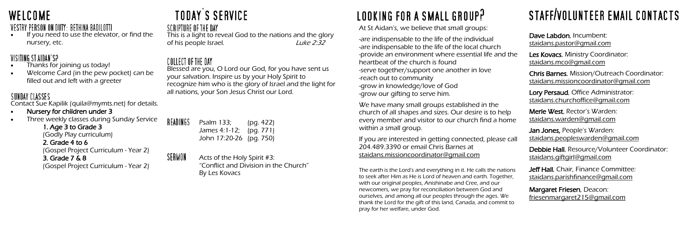

### VESTRY PERSON ON DUTY: BETHINA BADILOTTI

If you need to use the elevator, or find the nursery, etc.

### VISITING ST AIDAN'S?

- Thanks for joining us today!
- Welcome Card (in the pew pocket) can be filled out and left with a greeter

## SUNDAY CLASSES

Contact Sue Kapilik (quila@mymts.net) for details.

- Nursery for children under 3
- Three weekly classes during Sunday Service

1. Age 3 to Grade 3 (Godly Play curriculum) 2. Grade 4 to 6

### (Gospel Project Curriculum - Year 2)

3. Grade 7 & 8

(Gospel Project Curriculum - Year 2)

# **TODAY'S SERVICE**

### SCRIPTURE OF THE DAY

The earth is the Lord's and everything in it. He calls the nation to seek after Him as He is Lord of heaven and earth. Together with our original peoples, Anishinabe and Cree, and our newcomers, we pray for reconciliation between God and ourselves, and among all our peoples through the ages. We thank the Lord for the gift of this land, Canada, and commit to pray for her welfare, under God.

This is a light to reveal God to the nations and the glory of his people Israel. Luke 2:32

# STAFF/VOLUNTEER EMAIL CONTACTS

### COLLECT OF THE DAY

READ

SERMON

|            | Dave Labdon, Incumbent:<br><u>staidans.pastor@qmail.com</u>                             |
|------------|-----------------------------------------------------------------------------------------|
| ነԲ         | Les Kovacs, Ministry Coordinator:<br><u>staidans.mco@qmail.com</u>                      |
|            | Chris Barnes, Mission/Outreach Coordinator:<br>staidans.missioncoordinator@gmail.com    |
|            | Lory Persaud, Office Administrator:<br>staidans.churchoffice@gmail.com                  |
| $\epsilon$ | Merle West, Rector's Warden:<br><u>staidans.warden@qmail.com</u>                        |
| all        | <b>Jan Jones, People's Warden:</b><br><u>staidans.peopleswarden@gmail.com</u>           |
|            | Debbie Hall, Resource/Volunteer Coordinator:<br>staidans.giftgirl@gmail.com             |
| ٦Ś         | <b>Jeff Hall</b> , Chair, Finance Committee:<br><u>staidans.parishfinance@gmail.com</u> |
|            | Margaret Friesen, Deacon:<br><u>friesenmargaret215@gmail.com</u>                        |

We have many small groups established in the church of all shapes and sizes. Our desire is to help every member and visitor to our church find a hom within a small group.

If you are interested in getting connected, please call 204.489.3390 or email Chris Barnes at [staidans.missioncoordinator@gmail.com](mailto:staidans.missioncoordinator@gmail.com)

Blessed are you, O Lord our God, for you have sent us your salvation. Inspire us by your Holy Spirit to recognize him who is the glory of Israel and the light for all nations, your Son Jesus Christ our Lord.

| INGS | Psalm 133;              | (pg. 422) |
|------|-------------------------|-----------|
|      | James 4:1-12; (pg. 771) |           |
|      | John 17:20-26 (pg. 750) |           |

Acts of the Holy Spirit #3: "Conflict and Division in the Church" By Les Kovacs

# LOOKING FOR A SMALL GROUP?

At St Aidan's, we believe that small groups:

-are indispensable to the life of the individual -are indispensable to the life of the local church -provide an environment where essential life and the heartbeat of the church is found -serve together/support one another in love -reach out to community -grow in knowledge/love of God -grow our gifting to serve him.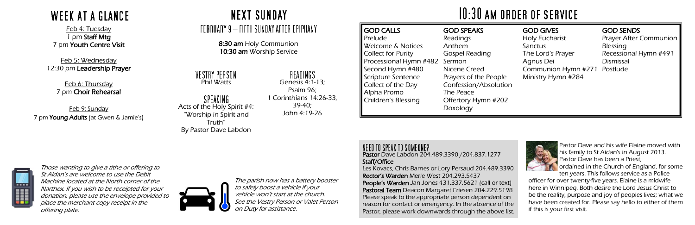Pastor Dave Labdon 204.489.3390 /204.837.1277 Staff/Office

Les Kovacs, Chris Barnes or Lory Persaud 204.489.3390 Rector's Warden Merle West 204.293.5437 People's Warden Jan Jones 431.337.5621 (call or text) Pastoral Team Deacon Margaret Friesen 204.229.5198 Please speak to the appropriate person dependent on reason for contact or emergency. In the absence of the Pastor, please work downwards through the above list.



#### VESTRY PERSON Phil Watts

SPEAKING Acts of the Holy Spirit #4: "Worship in Spirit and Truth" By Pastor Dave Labdon

| <b>GOD CALLS</b>          | <b>GOD SPEAKS</b>     |
|---------------------------|-----------------------|
| Prelude                   | Readings              |
| Welcome & Notices         | Anthem                |
| <b>Collect for Purity</b> | <b>Gospel Reading</b> |
| Processional Hymn #482    | Sermon                |
| Second Hymn #480          | Nicene Creed          |
| Scripture Sentence        | Prayers of the People |
| Collect of the Day        | Confession/Absolution |
| Alpha Promo               | The Peace             |
| Children's Blessing       | Offertory Hymn #202   |
|                           | Doxology              |

#### NEED TO SPEAK TO SOMEONE?

READINGS Genesis 4:1-13; Psalm 96; 1 Corinthians 14:26-33, 39-40; John 4:19-26

|  | $10:30$ am of |  |
|--|---------------|--|
|  |               |  |

#### GOD GIVES

Holy Eucharist Sanctus The Lord's Prayer Agnus Dei Communion Hymn #271 Ministry Hymn #284

#### GOD SENDS

Prayer After Communion Blessing Recessional Hymn #491 Dismissal Postlude



8:30 am Holy Communion 10:30 am Worship Service

Feb 9: Sunday 7 pm Young Adults (at Gwen & Jamie's) **NEXT SUNDAY** 

### – FEBRUARY 9 — FIFTH SUNDAY AFTER EPIPHANY

# **WEEK AT A GLANCE**

Feb 4: Tuesday 1 pm Staff Mtg 7 pm Youth Centre Visit

Feb 5: Wednesday 12:30 pm Leadership Prayer

> Feb 6: Thursday 7 pm Choir Rehearsal

> > Pastor Dave and his wife Elaine moved with his family to St Aidan's in August 2013. Pastor Dave has been a Priest, ordained in the Church of England, for some ten years. This follows service as a Police

officer for over twenty-five years. Elaine is a midwife here in Winnipeg. Both desire the Lord Jesus Christ to be the reality, purpose and joy of peoples lives; what we have been created for. Please say hello to either of them if this is your first visit.

Those wanting to give a tithe or offering to St Aidan's are welcome to use the Debit Machine located at the North corner of the Narthex. If you wish to be receipted for your donation, please use the envelope provided to place the merchant copy receipt in the offering plate.



The parish now has a battery booster to safely boost a vehicle if your vehicle won't start at the church. See the Vestry Person or Valet Person on Duty for assistance.

# RDER OF SERVICE